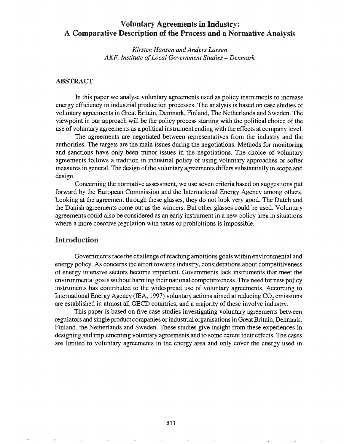# Voluntary Agreements in Industry: A Comparative Description of the Process and a Normative Analysis

*Kirsten Hansen and Anders Larsen AKF, Institute ofLocal Government Studies* - *Denmark*

#### ABSTRACT

In this paper we analyse voluntary agreements used as policy instruments to increase energy efficiency in industrial production processes. The analysis is based on case studies of voluntary agreements in Great Britain, Denmark, Finland, The Netherlands and Sweden. The viewpoint in our approach will be the policy process starting with the political choice of the use of voluntary agreements as a political instrument ending with the effects at company level.

The agreements are negotiated between representatives from the industry and the authorities. The targets are the main issues during the negotiations. Methods for monitoring and sanctions have only been minor issues in the negotiations. The choice of voluntary agreements follows a tradition in industrial policy of using voluntary approaches or softer measures in general. The design of the voluntary agreements differs substantially in scope and design.

Concerning the normative assessment, we use seven criteria based on suggestions put forward by the European Commission and the International Energy Agency among others. Looking at the agreement through these glasses, they do not look very good. The Dutch and the Danish agreements come out as the winners. But other glasses could be used. Voluntary agreements could also be considered as an early instrument in a new policy area in situations where a more coercive regulation with taxes or prohibitions is impossible.

### Introduction

Governments face the challenge ofreaching ambitious goals within environmental and energy policy. As concerns the effort towards industry, considerations about competitiveness of energy intensive sectors become important. Governments lack instruments that meet the environmental goals without harming their national competitiveness. This need for new policy instruments has contributed to the widespread use of voluntary agreements. According to International Energy Agency (IEA, 1997) voluntary actions aimed at reducing  $CO<sub>2</sub>$  emissions are established in almost all OECD countries, and a majority of these involve industry.

This paper is based on five case studies investigating voluntary agreements between regulators and single product companies or industrial organisations in Great Britain, Denmark, Finland, the Netherlands and Sweden. These studies give insight from these experiences in designing and implementing voluntary agreements and to some extent their effects. The cases are limited to voluntary agreements in the energy area and only cover the energy used in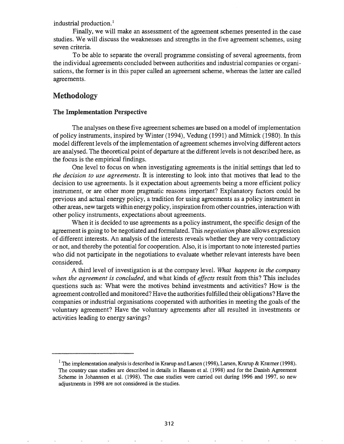industrial production.<sup>1</sup>

Finally, we will make an assessment of the agreement schemes presented in the case studies. We will discuss the weaknesses and strengths in the five agreement schemes, using seven criteria.

To be able to separate the overall programme consisting of several agreements, from the individual agreements concluded between authorities and industrial companies or organisations, the former is in this paper called an agreement scheme, whereas the latter are called agreements.

# Methodology

### The Implementation Perspective

The analyses on these five agreement schemes are based on a model of implementation of policy instruments, inspired by Winter (1994), Vedung (1991) and Mitnick (1980). In this model different levels of the implementation of agreement schemes involving different actors are analysed. The theoretical point of departure at the different levels is not described here, as the focus is the empirical findings.

One level to focus on when investigating agreements is the initial settings that led to *the decision to use agreements.* It is interesting to look into that motives that lead to the decision to use agreements. Is it expectation about agreements being a more efficient policy instrument, or are other more pragmatic reasons important? Explanatory factors could be previous and actual energy policy, a tradition for using agreements as a policy instrument in other areas, new targets within energy policy, inspiration from other countries, interaction with other policy instruments, expectations about agreements.

When it is decided to use agreements as a policy instrument, the specific design of the agreement is going to be negotiated and formulated. This *negotiation* phase allows expression of different interests. An analysis ofthe interests reveals whether they are very contradictory or not, and thereby the potential for cooperation. Also, it is important to note interested parties who did not participate in the negotiations to evaluate whether relevant interests have been considered.

A third level of investigation is at the company level. *What happens in the company when the agreement is concluded,* and what kinds of *effects* result from this? This includes questions such as: What were the motives behind investments and activities? How is the agreement controlled and monitored? Have the authoritiesfulfilled their obligations? Have the companies or industrial organisations cooperated with authorities in meeting the goals of the voluntary agreement? Have the voluntary agreements after all resulted in investments or activities leading to energy savings?

<sup>&</sup>lt;sup>1</sup> The implementation analysis is described in Krarup and Larsen (1998), Larsen, Krarup & Kræmer (1998). The country case studies are described in details in Hansen et al. (1998) and for the Danish Agreement Scheme in Johannsen et al. (1998). The case studies were carried out during 1996 and 1997, so new adjustments in 1998 are not considered in the studies.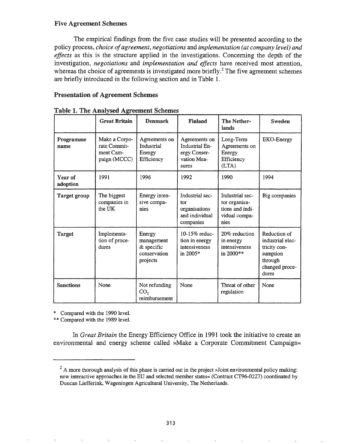## Five Agreement Schemes

The empirical findings from the five case studies will be presented according to the policy process, *choice ofagreement, negotiations* and *implementation (at company level) and effects* as this is the structure applied in the investigations. Concerning the depth of the investigation, *negotiations* and *implementation and effects* have received most attention, whereas the choice of agreements is investigated more briefly.<sup>2</sup> The five agreement schemes are briefly introduced in the following section and in Table 1.

## Presentation of Agreement Schemes

|                     | <b>Great Britain</b>                                       | <b>Denmark</b>                                                 | Finland                                                                        | The Nether-<br>lands                                                         | Sweden                                                                                             |
|---------------------|------------------------------------------------------------|----------------------------------------------------------------|--------------------------------------------------------------------------------|------------------------------------------------------------------------------|----------------------------------------------------------------------------------------------------|
| Programme<br>name   | Make a Corpo-<br>rate Commit-<br>ment Cam-<br>paign (MCCC) | Agreements on<br>Industrial<br>Energy<br>Efficiency            | Agreements on<br><b>Industrial En-</b><br>ergy Conser-<br>vation Mea-<br>sures | Long-Term<br>Agreements on<br>Energy<br>Efficiency<br>(LTA)                  | EKO-Energy                                                                                         |
| Year of<br>adoption | 1991                                                       | 1996                                                           | 1992                                                                           | 1990                                                                         | 1994                                                                                               |
| <b>Target group</b> | The biggest<br>companies in<br>the UK                      | Energy inten-<br>sive compa-<br>nies                           | Industrial sec-<br>tor<br>organisations<br>and individual<br>companies         | Industrial sec-<br>tor organisa-<br>tions and indi-<br>vidual compa-<br>nies | Big companies                                                                                      |
| <b>Target</b>       | Implementa-<br>tion of proce-<br>dures                     | Energy<br>management<br>& specific<br>conservation<br>projects | 10-15% reduc-<br>tion in energy<br>intensiveness<br>in 2005*                   | 20% reduction<br>in energy<br>intensiveness<br>in 2000**                     | Reduction of<br>industrial elec-<br>tricity con-<br>sumption<br>through<br>changed proce-<br>dures |
| <b>Sanctions</b>    | None                                                       | Not refunding<br>CO <sub>2</sub><br>reimbursement              | None                                                                           | Threat of other<br>regulation                                                | None                                                                                               |

|  |  | Table 1. The Analysed Agreement Schemes                                                                          |  |
|--|--|------------------------------------------------------------------------------------------------------------------|--|
|  |  |                                                                                                                  |  |
|  |  | <i>рациялык</i> тал <i>ынын каланаттык каташы аттык кататтык кататта башкаш</i> унун кататта каташтан каналаттан |  |

\* Compared with the 1990 level.

\*\* Compared with the 1989 leveL

*Great Britain* the Energy Efficiency Office in 1991 took the initiative to create an environmental and energy scheme called »Make a Corporate Commitment Campaign«

 $2 \text{ A}$  more thorough analysis of this phase is carried out in the project »Joint environmental policy making: new interactive approaches in the ED and selected member states« (Contract CT96-0227) coordinated by Duncan Liefferink, Wageningen Agricultural University, The Netherlands.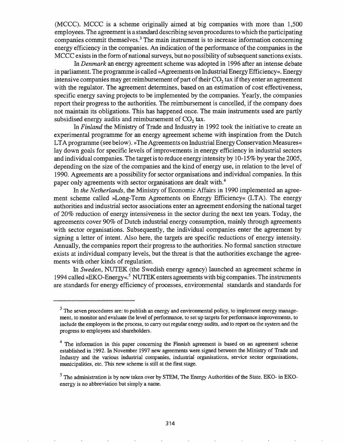(MCCC). MCCC is a scheme originally aimed at big companies with more than  $1,500$ employees. The agreement is a standard describing seven procedures to which the participating companies commit themselves.<sup>3</sup> The main instrument is to increase information concerning energy efficiency in the companies. An indication of the performance of the companies in the MCCC exists in the form of national surveys, but no possibility of subsequent sanctions exists.

In *Denmark* an energy agreement scheme was adopted in 1996 after an intense debate in parliament. The programme is called »Agreements on Industrial Energy Efficiency«. Energy intensive companies may get reimbursement of part of their  $CO<sub>2</sub>$  tax if they enter an agreement with the regulator. The agreement determines, based on an estimation of cost effectiveness, specific energy saving projects to be implemented by the companies. Yearly, the companies report their progress to the authorities. The reimbursement is cancelled, if the company does not maintain its obligations. This has happened once. The main instruments used are partly subsidised energy audits and reimbursement of  $CO<sub>2</sub>$  tax.

In *Finland* the Ministry of Trade and Industry in 1992 took the initiative to create an experimental programme for an energy agreement scheme with inspiration from the Dutch LTA programme (see below). »The Agreements on Industrial Energy Conservation Measures« lay down goals for specific levels of improvements in energy efficiency in industrial sectors and individual companies. The target is to reduce energy intensity by 10-15% by yearthe 2005, depending on the size of the companies and the kind of energy use, in relation to the level of 1990. Agreements are a possibility for sector organisations and individual companies. In this paper only agreements with sector organisations are dealt with.<sup>4</sup>

In *the Netherlands,* the Ministry of Economic Affairs in 1990 implemented an agreement scheme called »Long-Term Agreements on Energy Efficiency« (LTA). The energy authorities and industrial sector associations enter an agreement endorsing the national target of 20% reduction of energy intensiveness in the sector during the next ten years. Today, the agreements cover 90% of Dutch industrial energy consumption, mainly through agreements with sector organisations. Subsequently, the individual companies enter the agreement by signing a letter of intent. Also here, the targets are specific reductions of energy intensity. Annually, the companies report their progress to the authorities. No formal sanction structure exists at individual company levels, but the threat is that the authorities exchange the agreements with other kinds of regulation.

In *Sweden,* NUTEK (the Swedish energy agency) launched an agreement scheme in 1994 called »EKO-Energy«<sup>5</sup> NUTEK enters agreements with big companies. The instruments are standards for energy efficiency of processes, environmental standards and standards for

 $3$  The seven procedures are: to publish an energy and environmental policy, to implement energy management, to monitor and evaluate the level of perfonnance, to set up targets for perfonnance improvements, to include the employees in the process, to carry out regular energy audits, and to report on the system and the progress to employees and shareholders.

 $4$  The information in this paper concerning the Finnish agreement is based on an agreement scheme established in 1992. In November 1997 new agreements were signed between the Ministry of Trade and Industry and the various industrial companies, industrial organisations, service sector organisations, municipalities, etc. This new scheme is still at the first stage.

<sup>&</sup>lt;sup>5</sup> The administration is by now taken over by STEM, The Energy Authorities of the State. EKO- in EKOenergy is no abbreviation but simply a name.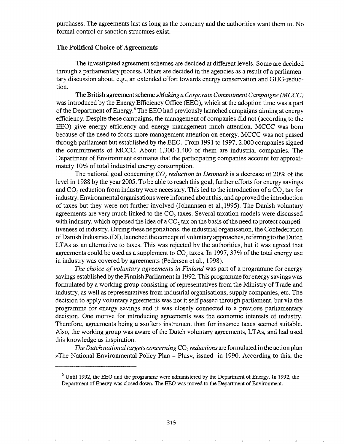purchases. The agreements last as long as the company and the authorities want them to. No formal control or sanction structures exist.

### The Political Choice of Agreements

The investigated agreement schemes are decided at different levels. Some are decided through a parliamentary process. Others are decided in the agencies as a result of a parliamentary discussion about, e.g., an extended effort towards energy conservation and GHG-reduction.

TheBritish agreementscheme *»Making a Corporate CommitmentCampaign« (M*eCC) was introduced by the Energy Efficiency Office (EEO), which at the adoption time was a part of the Department of Energy.<sup>6</sup> The EEO had previously launched campaigns aiming at energy efficiency. Despite these campaigns, the management of companies did not (according to the EEO) give energy efficiency and energy management much attention. MCCC was born because of the need to focus more management attention on energy. MCCC was not passed through parliament but established by the EEO. From 1991 to 1997, 2,000 companies signed the commitments of MCCC. About  $1,300-1,400$  of them are industrial companies. The Department of Environment estimates that the participating companies account for approximately 10% of total industrial energy consumption.

The national goal concerning *CO<sub>2</sub> reduction* in *Denmark* is a decrease of 20% of the level in 1988 by the year 2005. To be able to reach this goal, further efforts for energy savings and  $CO<sub>2</sub>$  reduction from industry were necessary. This led to the introduction of a  $CO<sub>2</sub>$  tax for industry. Environmental organisations were informed about this, and approved the introduction of taxes but they were not further involved (Johannsen et al.,1995). The Danish voluntary agreements are very much linked to the  $CO<sub>2</sub>$  taxes. Several taxation models were discussed with industry, which opposed the idea of a  $CO<sub>2</sub>$  tax on the basis of the need to protect competitiveness of industry. During these negotiations, the industrial organisation, the Confederation of Danish Industries (DI), launched the concept of voluntary approaches, referring to the Dutch LTAs as an alternative to taxes. This was rejected by the authorities, but it was agreed that agreements could be used as a supplement to  $CO<sub>2</sub>$  taxes. In 1997, 37% of the total energy use in industry was covered by agreements (Pedersen et al., 1998).

*The choice of voluntary agreements in Finland* was part of a programme for energy savings established by the Finnish Parliament in 1992. This programme for energy savings was formulated by a working group consisting of representatives from the Ministry of Trade and Industry, as well as representatives from industrial organisations, supply companies, etc. The decision to apply voluntary agreements was not it self passed through parliament, but via the programme for energy savings and it was closely connected to a previous parliamentary decision. One motive for introducing agreements was the economic interests of industry. Therefore, agreements being a »softer« instrument than for instance taxes seemed suitable. Also, the working group was aware of the Dutch voluntary agreements, LTAs, and had used this knowledge as inspiration.

*The Dutch national targets concerning* CO<sub>2</sub> *reductions* are formulated in the action plan »The National Environmental Policy Plan - Plus«, issued in 1990. According to this, the

<sup>&</sup>lt;sup>6</sup> Until 1992, the EEO and the programme were administered by the Department of Energy. In 1992, the Department of Energy was closed down. The EEO was moved to the Department of Environment.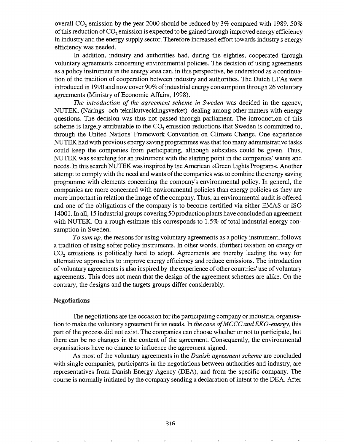overall  $CO_2$  emission by the year 2000 should be reduced by 3% compared with 1989. 50% of this reduction of  $CO<sub>2</sub>$  emission is expected to be gained through improved energy efficiency in industry and the energy supply sector. Therefore increased effort towards industry's energy efficiency was needed.

In addition, industry and authorities had, during the eighties, cooperated through voluntary agreements concerning environmental policies. The decision of using agreements as a policy instrument in the energy area can, in this perspective, be understood as a continuation of the tradition of cooperation between industry and authorities. The Dutch LTAs were introduced in 1990 and now cover 90% of industrial energy consumption through 26 voluntary agreements (Ministry of Economic Affairs, 1998).

*The introduction of the agreement scheme in Sweden* was decided in the agency, NUTEK, (Narings- och teknikutvecklingsverket) dealing among other matters with energy questions. The decision was thus not passed through parliament. The introduction of this scheme is largely attributable to the  $CO<sub>2</sub>$  emission reductions that Sweden is committed to, through the United Nations' Framework Convention on Climate Change. One experience NUTEK had with previous energy saving programmes was that too many administrative tasks could keep the companies from participating, although subsidies could be given. Thus, NUTEK was searching for an instrument with the starting point in the companies' wants and needs. In this search NUTEK was inspired by the American »Green Lights Program«. Another attempt to comply with the need and wants of the companies was to combine the energy saving programme with elements concerning the company's environmental policy. In general, the companies are more concerned with environmental policies than energy policies as they are more important in relation the image of the company. Thus, an environmental audit is offered and one of the obligations of the company is to become certified via either EMAS or ISO 14001. In all, 15 industrial groups covering 50 production plants have concluded an agreement with NUTEK. On a rough estimate this corresponds to 1.5% of total industrial energy consumption in Sweden.

*To sum up,* the reasons for using voluntary agreements as a policy instrument, follows a tradition of using softer policy instruments. In other words, (further) taxation on energy or CO<sub>2</sub> emissions is politically hard to adopt. Agreements are thereby leading the way for alternative approaches to improve energy efficiency and reduce emissions. The introduction of voluntary agreements is also inspired by the experience ofother countries' use of voluntary agreements. This does not mean that the design of the agreement schemes are alike. On the contrary, the designs and the targets groups differ considerably.

#### **Negotiations**

The negotiations are the occasion for the participating company or industrial organisation to make the voluntary agreement fit its needs. In *the case ofMCCC andEKO-energy,* this part of the process did not exist. The companies can choose whether or not to participate, but there can be no changes in the content of the agreement. Consequently, the environmental organisations have no chance to influence the agreement signed.

As most of the voluntary agreements in the *Danish agreement scheme* are concluded with single companies, participants in the negotiations between authorities and industry, are representatives from Danish Energy Agency (DBA), and from the specific company. The course is normally initiated by the company sending a declaration of intent to the DEA. After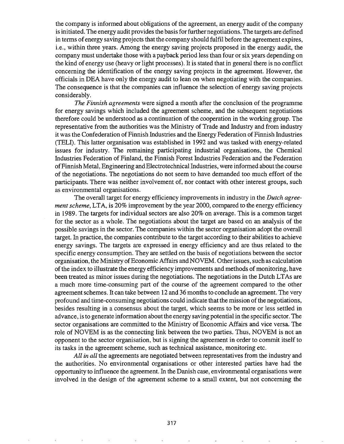the company is informed about obligations of the agreement, an energy audit of the company is initiated. The energy audit provides the basis for further negotiations. The targets are defined in terms of energy saving projects that the company should fulfil before the agreement expires, i.e., within three years. Among the energy saving projects proposed in the energy audit, the company must undertake those with a payback period less than four orsix years depending on the kind of energy use (heavy or light processes). It is stated that in general there is no conflict concerning the identification of the energy saving projects in the agreement. However, the officials in DBA have only the energy audit to lean on when negotiating with the companies. The consequence is that the companies can influence the selection of energy saving projects considerably.

*The Filznish agreements* were signed a month after the conclusion of the programme for energy savings which included the agreement scheme, and the subsequent negotiations therefore could be understood as a continuation of the cooperation in the working group. The representative from the authorities was the Ministry of Trade and Industry and from industry it was the Confederation of Finnish Industries and the Energy Federation of Finnish Industries (TELI). This latter organisation was established in 1992 and was tasked with energy-related issues for industry. The remaining participating industrial organisations, the Chemical Industries Federation of Finland, the Finnish Forest Industries Federation and the Federation ofFinnish Metal, Engineering andElectrotechnical Industries, were informed about the course of the negotiations. The negotiations do not seem to have demanded too much effort of the participants. There was neither involvement of, nor contact with other interest groups, such as environmental organisations.

The overall target for energy efficiency improvements in industry in the *Dutch agreement scheme,* LTA, is 20% improvement by the year 2000, compared to the energy efficiency in 1989. The targets for individual sectors are also 20% on average. This is a common target for the sector as a whole. The negotiations about the target are based on an analysis of the possible savings in the sector. The companies within the sector organisation adopt the overall target. In practice, the companies contribute to the target according to their abilities to achieve energy savings. The targets are expressed in energy efficiency and are thus related to the specific energy consumption.. They are settled on the basis of negotiations between the sector organisation, the Ministry of Economic Affairs and NOVEM. Other issues, such as calculation of the index to illustrate the energy efficiency improvements and methods of monitoring, have been treated as minor issues during the negotiations. The negotiations in the Dutch LTAs are a much more time-consuming part of the course of the agreement compared to the other agreement schemes. It can take between 12 and 36 months to conclude an agreement. The very profound and time-consuming negotiations could indicate that the mission of the negotiations, besides resulting in a consensus about the target, which seems to be more or less settled in advance, isto generate information about the energy saving potential in the specific sector. The sector organisations are committed to the Ministry of Economic Affairs and vice versa. The role of NOVEM is as the connecting link between the two parties. Thus, NOVEM is not an opponent to the sector organisation, but is signing the agreement in order to commit itself to its tasks in the agreement scheme, such as technical assistance, monitoring etc.

*All in all* the agreements are negotiated between representatives from the industry and the authorities. No environmental organisations or other interested parties have had the opportunity to influence the agreement.. In the Danish case, environmental organisations were involved in the design of the agreement scheme to a small extent, but not concerning the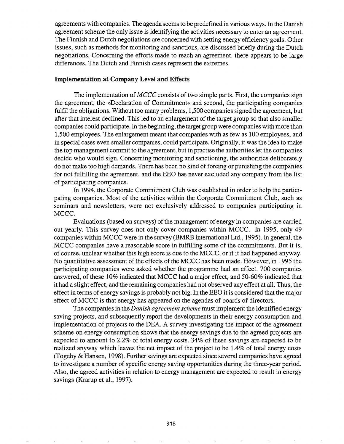agreements with companies. The agenda seems to be predefined in various ways. In the Danish agreement scheme the only issue is identifying the activities necessary to enter an agreement. The Finnish and Dutch negotiations are concerned with setting energy efficiency goals. Other issues, such as methods for monitoring and sanctions, are discussed briefly during the Dutch negotiations. Concerning the efforts made to reach an agreement, there appears to be large differences. The Dutch and Finnish cases represent the extremes.

#### Implementation at Company Level and Effects

The implementation of *MCCC* consists of two simple parts. First, the companies sign the agreement, the »Declaration of Commitment« and second, the participating companies fulfil the obligations. Without too many problems, 1,500 companies signed the agreement, but after that interest declined. This led to an enlargement of the target group so that also smaller companies could participate. In the beginning, the target group were companies with more than 1,500 employees. The enlargement meant that companies with as few as 100 employees, and in special cases even smaller companies, could participate. Originally, it was the idea to make the top management commit to the agreement, but in practise the authorities let the companies decide who would sign. Concerning monitoring and sanctioning, the authorities deliberately do not make too high demands. There has been no kind of forcing or punishing the companies for not fulfilling the agreement, and the EEG has never excluded any company from the list of participating companies.

In 1994, the Corporate Commitment Club was established in order to help the participating companies. Most of the activities within the Corporate Commitment Club, such as seminars and newsletters, were not exclusively addressed to companies participating in MCCC.

Evaluations (based on surveys) of the management of energy in companies are carried out yearly. This survey does not only cover companies within MCCC. In 1995, only 49 companies within MCCC were in the survey (BMRB International Ltd., 1995). In general, the MCCC companies have a reasonable score in fulfilling some of the commitments. But it is, of course, unclear whether this high score is due to the MCCC, or ifit had happened anyway. No quantitative assessment of the effects of the MCCC has been made. However, in 1995 the participating companies were asked whether the programme had an effect. 700 companies answered, of these 10% indicated that MCCC had a major effect, and 50-60% indicated that it had a slight effect, and the remaining companies had not observed any effect at all. Thus, the effect in terms of energy savings is probably not big. In the EEO it is considered that the major effect of MCCC is that energy has appeared on the agendas of boards of directors.

The companies in the *Danish agreementscheme* must implement the identified energy saving projects, and subsequently report the developments in their energy consumption and implementation of projects to the DEA. A survey investigating the impact of the agreement scheme on energy consumption shows that the energy savings due to the agreed projects are expected to amount to 2.2% of total energy costs.  $34\%$  of these savings are expected to be realized anyway which leaves the net impact of the project to be 1.4% of total energy costs (Togeby  $&$  Hansen, 1998). Further savings are expected since several companies have agreed to investigate a number of specific energy saving opportunities during the three-year period. Also, the agreed activities in relation to energy management are expected to result in energy savings (Kramp et al., 1997).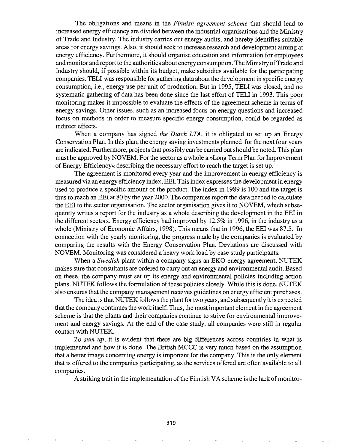The obligations and means in the *Finnish agreement scheme* that should lead to increased energy efficiency are divided between the industrial organisations and the Ministry of Trade and Industry. The industry carries out energy audits, and hereby identifies suitable areas for energy savings. Also, it should seek to increase research and development aiming at energy efficiency. Furthermore, it should organise education and information for employees and monitor and report to the authorities about energy consumption. The Ministry ofTrade and Industry should, if possible within its budget, make subsidies available for the participating companies. TELl was responsible for gathering data about the development in specific energy consumption, i.e., energy use per unit of production. But in 1995, TELl was closed, and no systematic gathering of data has been done since the last effort of TELl in 1993. This poor monitoring makes it impossible to evaluate the effects of the agreement scheme in terms of energy savings. Other issues, such as an increased focus on energy questions and increased focus on methods in order to measure specific energy consumption, could be regarded as indirect effects.

When a company has signed *the Dutch LTA,* it is obligated to set up an Energy Conservation Plan. In this plan, the energy saving investments planned for the next four years are indicated. Furthermore, projects that possibly can be carried outshould be noted. This plan must be approved by NOVEM. For the sector as a whole a »Long Term Plan for Improvement of Energy Efficiency« describing the necessary effort to reach the target is set up.

The agreement is monitored every year and the improvement in energy efficiency is measured via an energy efficiency index, EEl. This index expresses the development in energy used to produce a specific amount of the product. The index in 1989 is 100 and the target is thus to reach an EEl at 80 by the year 2000. The companies report the data needed to calculate the EEl to the sector organisation. The sector organisation gives it to NOVEM, which subsequently writes a report for the industry as a whole describing the development in the EEl in the different sectors. Energy efficiency had improved by 12.5% in 1996, in the industry as a whole (Ministry of Economic Affairs, 1998). This means that in 1996, the EEl was 87.5. In connection with the yearly monitoring, the progress made by the companies is evaluated by comparing the results with the Energy Conservation Plan. Deviations are discussed with NOVEM. Monitoring was considered a heavy work load by case study participants.

When a Swedish plant within a company signs an EKO-energy agreement, NUTEK makes sure that consultants are ordered to carry out an energy and environmental audit. Based on these, the company must set up its energy and environmental policies including action plans. NUTEK follows the formulation of these policies closely. While this is done, NUTEK also ensures that the company management receives guidelines on energy efficient purchases.

The idea is that NUTEK follows the plant for two years, and subsequently it is expected that the company continues the work itself. Thus, the most important element in the agreement scheme is that the plants and their companies continue to strive for environmental improvement and energy savings. At the end of the case study, all companies were still in regular contact with NUTEK.

*To sum up,* it is evident that there are big differences across countries in what is implemented and how it is done. The British MCCC is very much based on the assumption that a better image concerning energy is important for the company. This is the only element that is offered to the companies participating, as the services offered are often available to all companies.

A striking trait in the implementation of the Finnish VA scheme is the lack of monitor-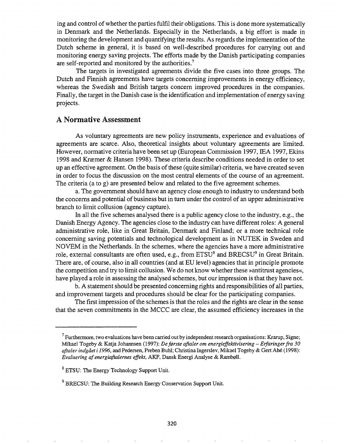ing and control ofwhether the parties fulfil their obligations. This is done more systematically in Denmark and the Netherlands. Especially in the Netherlands, a big effort is made in monitoring the development and quantifying the results. As regards the implementation of the Dutch scheme in general, it is based on well-described procedures for carrying out and monitoring energy saving projects. The efforts made by the Danish participating companies are self-reported and monitored by the authorities.<sup>7</sup>

The targets in investigated agreements divide the five cases into three groups. The Dutch and Finnish agreements have targets concerning improvements in energy efficiency, whereas the Swedish and British targets concern improved procedures in the companies. Finally, the target in the Danish case is the identification and implementation of energy saving projects.

## A Normative Assessment

As voluntary agreements are new policy instruments, experience and evaluations of agreements are scarce. Also, theoretical insights about voluntary agreements are limited. However, normative criteria have been set up (European Commission 1997, IEA 1997, Ekins 1998 and Kræmer & Hansen 1998). These criteria describe conditions needed in order to set up an effective agreement. On the basis of these (quite similar) criteria, we have created seven in order to focus the discussion on the most central elements of the course of an agreement. The criteria (a to g) are presented below and related to the five agreement schemes.

a. The government should have an agency close enough to industry to understand both the concerns and potential of business but in tum under the control of an upper administrative branch to limit collusion (agency capture).

In all the five schemes analysed there is a public agency close to the industry, e.g., the Danish Energy Agency. The agencies close to the industry can have different roles: A general administrative role, like in Great Britain, Denmark and Finland; or a more technical role concerning saving potentials and technological development as in NUTEK in Sweden and NOVEM in the Netherlands. In the schemes, where the agencies have a more administrative role, external consultants are often used, e.g., from ETSU<sup>8</sup> and BRECSU<sup>9</sup> in Great Britain. There are, of course, also in all countries (and at ED level) agencies that in principle promote the competition and try to limit collusion. We do not know whether these »antitrust agencies«, have played a role in assessing the analysed schemes, but our impression is that they have not.

b. A statement should be presented concerning rights and responsibilities of all parties, and improvement targets and procedures should be clear for the participating companies.

The first impression of the schemes is that the roles and the rights are clear in the sense that the seven commitments in the MCCC are clear, the assumed efficiency increases in the

 $^7$  Furthermore, two evaluations have been carried out by independent research organisations: Krarup, Signe; Mikael Togeby & Katja Johannsen (1997): *De ff/Jrste aftaler om energieffektivisering* - *Erfaringerfra 30 aftalerindgaet i* 1996, and Pedersen, Preben Buhl; Christina Ingerslev, Mikael Togeby & Gert Abe (1998): *Evaluering af energiaftalernes effekt*, AKF, Dansk Energi Analyse & Rambøll.

 $8$  ETSU: The Energy Technology Support Unit.

 $9^9$  BRECSU: The Building Research Energy Conservation Support Unit.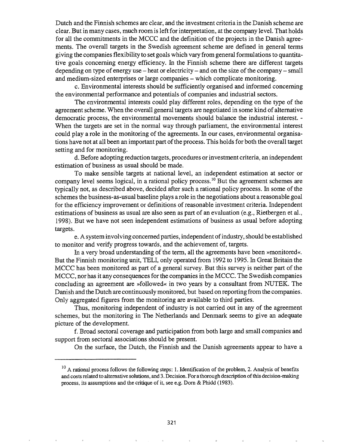Dutch and the Finnish schemes are clear, and the investment criteria in the Danish scheme are clear. But in many cases, much room is left for interpretation, at the company level. That holds for all the commitments in the MCCC and the definition of the projects in the Danish agreements. The overall targets in the Swedish agreement scheme are defined in general terms giving the companies flexibility to set goals which vary from general formulations to quantitative goals concerning energy efficiency. In the Finnish scheme there are different targets depending on type of energy use  $-$  heat or electricity  $-$  and on the size of the company  $-$  small and medium-sized enterprises or large companies - which complicate monitoring.

c. Environmental interests should be sufficiently organised and informed concerning the environmental performance and potentials of companies and industrial sectors.

The environmental interests could play different roles, depending on the type of the agreement scheme. When the overall general targets are negotiated in some kind of alternative democratic process, the environmental movements should balance the industrial interest. -When the targets are set in the normal way through parliament, the environmental interest could playa role in the monitoring of the agreements. In our cases, environmental organisations have not at all been an important part of the process. This holds for both the overall target setting and for monitoring.

d. Before adopting reduction targets, procedures or investment criteria, an independent estimation of business as usual should be made.

To make sensible targets at national level, an independent estimation at sector or company level seems logical, in a rational policy process.<sup>10</sup> But the agreement schemes are typically not, as described above, decided after such a rational policy process. In some of the schemes the business-as-usual baseline plays a role in the negotiations about a reasonable goal for the efficiency improvement or definitions of reasonable investment criteria. Independent estimations of business as usual are also seen as part of an evaluation (e.g., Rietbergen et aI., 1998). But we have not seen independent estimations of business as usual before adopting targets.

e. A system involving concerned parties, independent ofindustry, should be established to monitor and verify progress towards, and the achievement of, targets.

In a very broad understanding of the term, all the agreements have been »monitored«. But the Finnish monitoring unit, TELl, only operated from 1992 to 1995. In Great Britain the MCCC has been monitored as part of a general survey. But this survey is neither part of the MCCC, nor has it any consequences for the companies in the MCCC. The Swedish companies concluding an agreement are »followed« in two years by a consultant from NUTEK. The Danish and the Dutch are continuouslymonitored, but based on reporting from the companies. Only aggregated figures from the monitoring are available to third parties.

Thus, monitoring independent of industry is not carried out in any of the agreement schemes, but the monitoring in The Netherlands and Denmark seems to give an adequate picture of the development.

f. Broad sectoral coverage and participation from both large and small companies and support from sectoral associations should be present.

On the surface, the Dutch, the Finnish and the Danish agreements appear to have a

 $10$  A rational process follows the following steps: 1. Identification of the problem, 2. Analysis of benefits and costsrelated to alternative solutions, and 3. Decision. For a thorough description ofthis decision-making process, its assumptions and the critique of it, see e.g. Dom & Phidd (1983).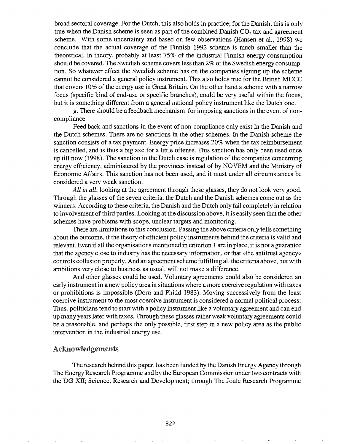broad sectoral coverage. For the Dutch, this also holds in practice; for the Danish, this is only true when the Danish scheme is seen as part of the combined Danish  $CO<sub>2</sub>$  tax and agreement scheme. With some uncertainty and based on few observations (Hansen et aI., 1998) we conclude that the actual coverage of the Finnish 1992 scheme is much smaller than the theoretical. In theory, probably at least 75% of the industrial Finnish energy consumption should be covered. The Swedish scheme covers less than  $2\%$  of the Swedish energy consumption. So whatever effect the Swedish scheme has on the companies signing up the scheme cannot be considered a general policy instrument. This also holds true for the British MCCC that covers 10% of the energy use in Great Britain. On the other hand a scheme with a narrow focus (specific kind of end-use or specific branches), could be very useful within the focus, but it is something different from a general national policy instrument like the Dutch one.

g. There should be a feedback mechanism for imposing sanctions in the event of noncompliance

Feed back and sanctions in the event of non-compliance only exist in the Danish and the Dutch schemes. There are no sanctions in the other schemes. In the Danish scheme the sanction consists of a tax payment. Energy price increases 20% when the tax reimbursement is cancelled, and is thus a big axe for a little offense. This sanction has only been used once up till now (1998). The sanction in the Dutch case is regulation ofthe companies concerning energy efficiency, administered by the provinces instead of by NOVEM and the Ministry of Economic Affairs. This sanction has not been used, and it must under all circumstances be considered a very weak sanction.

*All in all,* looking at the agreement through these glasses, they do not look very good. Through the glasses of the seven criteria, the Dutch and the Danish schemes come out as the winners. According to these criteria, the Danish and the Dutch only fail completely in relation to involvement ofthird parties. Looking at the discussion above, it is easily seen that the other schemes have problems with scope, unclear targets and monitoring..

There are limitations to this conclusion.. Passing the above criteria only tells something about the outcome, if the theory of efficient policy instruments behind the criteria is valid and relevant.. Even if all the organisations mentioned in criterion 1 are in place, it is not a guarantee that the agency close to industry has the necessary information, or that »the antitrust agency« controls collusion properly. And an agreement scheme fulfilling all the criteria above, but with ambitions very close to business as usual, will not make a difference.

And other glasses could be used. Voluntary agreements could also be considered an early instrument in a new policy area in situations where a more coercive regulation with taxes or prohibitions is impossible (Dom and Phidd 1983). Moving successively from the least coercive instrument to the most coercive instrument is considered a normal political process: Thus, politicians tend to start with a policy instrument like a voluntary agreement and can end up many years later with taxes. Through these glasses rather weak voluntary agreements could be a reasonable, and perhaps the only possible, first step in a new policy area as the public intervention in the industrial energy use..

### Acknowledgements

The research behind this paper, has been funded by the Danish Energy Agency through The Energy Research Programme and by the European Commission under two contracts with the DG XII; Science, Research and Development; through The Joule Research Programme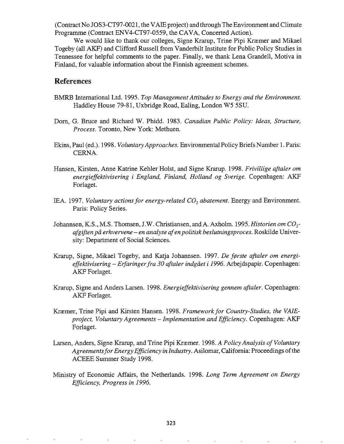(Contract No JOS3-CT97-0021 , the VAIE project) and through The Environment and Climate Programme (Contract ENV4-CT97-0559, the CAVA, Concerted Action).

We would like to thank our colleges, Signe Krarup, Trine Pipi Kræmer and Mikael Togeby (all AKF) and Clifford Russell from Vanderbilt Institute for Public Policy Studies in Tennessee for helpful comments to the paper. Finally, we thank Lena Grandell, Motiva in Finland, for valuable information about the Finnish agreement schemes.

# References

- BMRB International Ltd. 1995. *Top Management Attitudes to Energy and the Environment.* Haddley House 79-81, Uxbridge Road, Ealing, London W5 5SU.
- Dom, G. Bruce and Richard W. Phidd. 1983. *Canadian Public Policy: Ideas, Structure, Process.* Toronto, New York: Methuen.
- Ekins, Paul (ed.). 1998. *Voluntary Approaches.* Environmental Policy Briefs Number 1. Paris: CERNA.
- Hansen, Kirsten, Anne Katrine Kehler Holst, and Signe Krarup. 1998. *Frivillige aftaler om energieffektivisering i England, Finland, Holland og Sverige.* Copenhagen: AKF Forlaget.
- IEA. 1997. *Voluntary actions for energy-related*  $CO<sub>2</sub>$  *abatement*. Energy and Environment. Paris: Policy Series.
- Johannsen, K.S., M.S. Thomsen, J.W. Christiansen, and A. Axholm. 1995. *Historien om*  $CO_2$ *afgiften*pa *erhvervene* - *en analyse afen politisk beslutningsproces.* Roskilde University: Department of Social Sciences.
- Krarup, Signe, Mikael Togeby, and Katja Johannsen. 1997. *De første aftaler om energieffektivisering* - *Erfaringerfra 30 aftaler indgaet* i 1996. Arbejdspapir. Copenhagen: AKF Forlaget.
- Krarup, Signe and Anders Larsen. 1998. *Energieffektivisering gennem aftaler.* Copenhagen: AKF Forlaget.
- Kræmer, Trine Pipi and Kirsten Hansen. 1998. *Framework for Country-Studies, the VAIEproject, Voluntary Agreements* - *Implementation and Efficiency.* Copenhagen: AKF Forlaget.
- Larsen, Anders, Signe Krarup, and Trine Pipi Kræmer. 1998. *A Policy Analysis of Voluntary AgreementsforEnergy Efficiency in Industry.* Asilomar, California: Proceedings ofthe ACEEE Summer Study 1998.
- Ministry of Economic Affairs, the Netherlands. 1998. *Long Term Agreement on Energy Efficiency, Progress in 1996.*